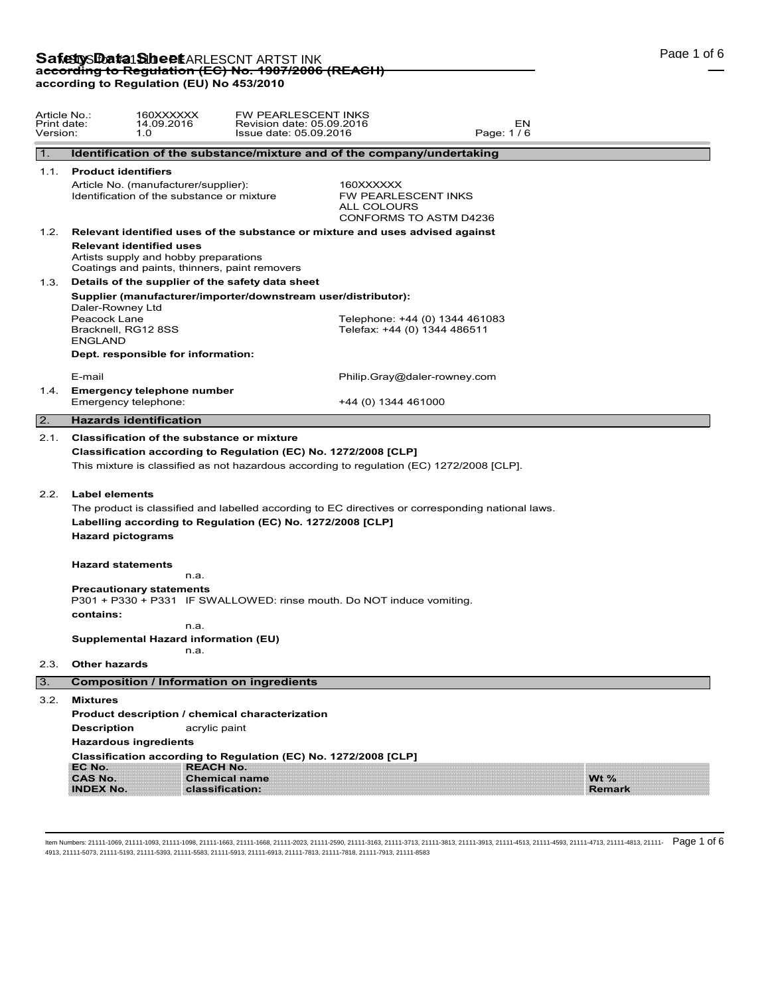| Article No.:<br>Print date:<br>Version: |                                                                                                                                                                                                            | 160XXXXXX<br>14.09.2016<br>1.0                                                                                                                       | FW PEARLESCENT INKS<br>Revision date: 05.09.2016<br>Issue date: 05.09.2016                                                                 |                                                                                                                                                                                                                                                                         | EN<br>Page: 1/6 |               |  |
|-----------------------------------------|------------------------------------------------------------------------------------------------------------------------------------------------------------------------------------------------------------|------------------------------------------------------------------------------------------------------------------------------------------------------|--------------------------------------------------------------------------------------------------------------------------------------------|-------------------------------------------------------------------------------------------------------------------------------------------------------------------------------------------------------------------------------------------------------------------------|-----------------|---------------|--|
| 1.                                      |                                                                                                                                                                                                            |                                                                                                                                                      |                                                                                                                                            | Identification of the substance/mixture and of the company/undertaking                                                                                                                                                                                                  |                 |               |  |
|                                         | 1.1. Product identifiers                                                                                                                                                                                   |                                                                                                                                                      |                                                                                                                                            |                                                                                                                                                                                                                                                                         |                 |               |  |
|                                         |                                                                                                                                                                                                            | Article No. (manufacturer/supplier):<br>Identification of the substance or mixture                                                                   |                                                                                                                                            | 160XXXXXX<br>FW PEARLESCENT INKS<br>ALL COLOURS<br>CONFORMS TO ASTM D4236                                                                                                                                                                                               |                 |               |  |
| 1.2.                                    | Relevant identified uses of the substance or mixture and uses advised against<br><b>Relevant identified uses</b><br>Artists supply and hobby preparations<br>Coatings and paints, thinners, paint removers |                                                                                                                                                      |                                                                                                                                            |                                                                                                                                                                                                                                                                         |                 |               |  |
|                                         | 1.3. Details of the supplier of the safety data sheet                                                                                                                                                      |                                                                                                                                                      |                                                                                                                                            |                                                                                                                                                                                                                                                                         |                 |               |  |
|                                         | Daler-Rowney Ltd<br>Peacock Lane<br>Bracknell, RG12 8SS<br><b>ENGLAND</b>                                                                                                                                  | Dept. responsible for information:                                                                                                                   | Supplier (manufacturer/importer/downstream user/distributor):                                                                              | Telephone: +44 (0) 1344 461083<br>Telefax: +44 (0) 1344 486511                                                                                                                                                                                                          |                 |               |  |
|                                         |                                                                                                                                                                                                            |                                                                                                                                                      |                                                                                                                                            |                                                                                                                                                                                                                                                                         |                 |               |  |
|                                         | E-mail                                                                                                                                                                                                     | 1.4. Emergency telephone number<br>Emergency telephone:                                                                                              |                                                                                                                                            | Philip.Gray@daler-rowney.com<br>+44 (0) 1344 461000                                                                                                                                                                                                                     |                 |               |  |
| $\boxed{2}$ .                           |                                                                                                                                                                                                            | <b>Hazards identification</b>                                                                                                                        |                                                                                                                                            |                                                                                                                                                                                                                                                                         |                 |               |  |
| 2.1.<br>2.2.<br>2.3.                    | <b>Label elements</b><br><b>Hazard pictograms</b><br><b>Hazard statements</b><br>contains:<br><b>Other hazards</b>                                                                                         | <b>Classification of the substance or mixture</b><br>n.a.<br><b>Precautionary statements</b><br>n.a.<br>Supplemental Hazard information (EU)<br>n.a. | Classification according to Regulation (EC) No. 1272/2008 [CLP]<br>Labelling according to Regulation (EC) No. 1272/2008 [CLP]              | This mixture is classified as not hazardous according to regulation (EC) 1272/2008 [CLP].<br>The product is classified and labelled according to EC directives or corresponding national laws.<br>P301 + P330 + P331 IF SWALLOWED: rinse mouth. Do NOT induce vomiting. |                 |               |  |
| 3.                                      |                                                                                                                                                                                                            | <b>Composition / Information on ingredients</b>                                                                                                      |                                                                                                                                            |                                                                                                                                                                                                                                                                         |                 |               |  |
|                                         |                                                                                                                                                                                                            |                                                                                                                                                      |                                                                                                                                            |                                                                                                                                                                                                                                                                         |                 |               |  |
| 3.2.                                    | <b>Mixtures</b><br><b>Description</b><br>EC No.<br><b>CAS No.</b>                                                                                                                                          | acrylic paint<br><b>Hazardous ingredients</b><br><b>REACH No.</b>                                                                                    | Product description / chemical characterization<br>Classification according to Regulation (EC) No. 1272/2008 [CLP]<br><b>Chemical name</b> |                                                                                                                                                                                                                                                                         |                 | Wt $%$        |  |
|                                         | <b>INDEX No.</b>                                                                                                                                                                                           |                                                                                                                                                      | classification:                                                                                                                            |                                                                                                                                                                                                                                                                         |                 | <b>Remark</b> |  |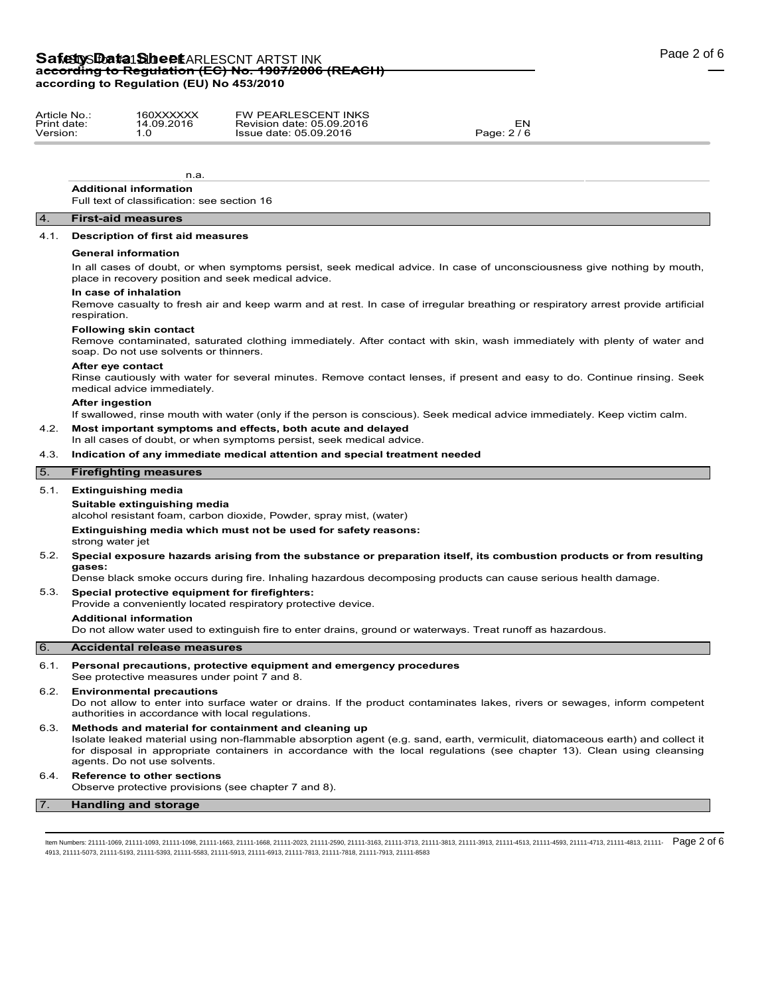# Safety SData<sup>1</sup>SheetARLESCNT ARTST INK **according to Regulation (EC) No. 1907/2006 (REACH) according to Regulation (EU) No 453/2010**

| Article No  | 160XXXXXX | <b>FW PEARLESCENT INKS</b> |           |  |
|-------------|-----------|----------------------------|-----------|--|
| Print date: | .09.2016  | Revision date: 05.09.2016  | EΝ        |  |
| Version.    | .U        | Issue date: 05.09.2016     | Page: 2/6 |  |

n.a. **Additional information**

Full text of classification: see section 16

# 4. **First-aid measures**

### 4.1. **Description of first aid measures**

### **General information**

In all cases of doubt, or when symptoms persist, seek medical advice. In case of unconsciousness give nothing by mouth, place in recovery position and seek medical advice.

### **In case of inhalation**

Remove casualty to fresh air and keep warm and at rest. In case of irregular breathing or respiratory arrest provide artificial respiration.

### **Following skin contact**

Remove contaminated, saturated clothing immediately. After contact with skin, wash immediately with plenty of water and soap. Do not use solvents or thinners.

### **After eye contact**

Rinse cautiously with water for several minutes. Remove contact lenses, if present and easy to do. Continue rinsing. Seek medical advice immediately.

### **After ingestion**

If swallowed, rinse mouth with water (only if the person is conscious). Seek medical advice immediately. Keep victim calm.

- 4.2. **Most important symptoms and effects, both acute and delayed**
	- In all cases of doubt, or when symptoms persist, seek medical advice.

## 4.3. **Indication of any immediate medical attention and special treatment needed**

# 5. **Firefighting measures**

### 5.1. **Extinguishing media**

## **Suitable extinguishing media**

alcohol resistant foam, carbon dioxide, Powder, spray mist, (water)

**Extinguishing media which must not be used for safety reasons:**

strong water jet

## 5.2. **Special exposure hazards arising from the substance or preparation itself, its combustion products or from resulting gases:**

Dense black smoke occurs during fire. Inhaling hazardous decomposing products can cause serious health damage.

# 5.3. **Special protective equipment for firefighters:**

Provide a conveniently located respiratory protective device.

**Additional information**

Do not allow water used to extinguish fire to enter drains, ground or waterways. Treat runoff as hazardous.

## 6. **Accidental release measures**

6.1. **Personal precautions, protective equipment and emergency procedures**

See protective measures under point 7 and 8.

# 6.2. **Environmental precautions**

Do not allow to enter into surface water or drains. If the product contaminates lakes, rivers or sewages, inform competent authorities in accordance with local regulations.

# 6.3. **Methods and material for containment and cleaning up**

Isolate leaked material using non-flammable absorption agent (e.g. sand, earth, vermiculit, diatomaceous earth) and collect it for disposal in appropriate containers in accordance with the local regulations (see chapter 13). Clean using cleansing agents. Do not use solvents.

# 6.4. **Reference to other sections**

Observe protective provisions (see chapter 7 and 8).

# 7. **Handling and storage**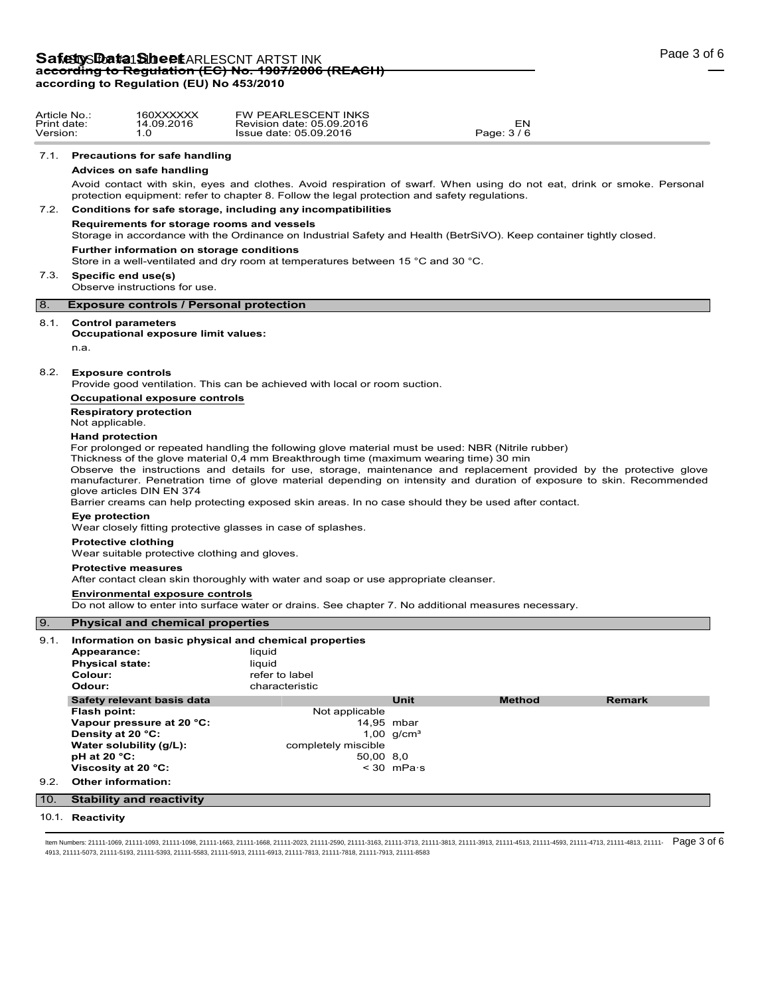| Print date:<br>Version: | Article No.:                                                                                                                                                                                                           | 160XXXXXX<br>14.09.2016<br>1.0                                                                                     | <b>FW PEARLESCENT INKS</b><br>Revision date: 05.09.2016<br>Issue date: 05.09.2016                                                                                                                                                            | EN<br>Page: 3/6 |        |  |  |  |
|-------------------------|------------------------------------------------------------------------------------------------------------------------------------------------------------------------------------------------------------------------|--------------------------------------------------------------------------------------------------------------------|----------------------------------------------------------------------------------------------------------------------------------------------------------------------------------------------------------------------------------------------|-----------------|--------|--|--|--|
|                         |                                                                                                                                                                                                                        | 7.1. Precautions for safe handling                                                                                 |                                                                                                                                                                                                                                              |                 |        |  |  |  |
|                         |                                                                                                                                                                                                                        | Advices on safe handling                                                                                           |                                                                                                                                                                                                                                              |                 |        |  |  |  |
|                         |                                                                                                                                                                                                                        |                                                                                                                    | Avoid contact with skin, eyes and clothes. Avoid respiration of swarf. When using do not eat, drink or smoke. Personal<br>protection equipment: refer to chapter 8. Follow the legal protection and safety regulations.                      |                 |        |  |  |  |
| 7.2.                    |                                                                                                                                                                                                                        |                                                                                                                    | Conditions for safe storage, including any incompatibilities                                                                                                                                                                                 |                 |        |  |  |  |
|                         |                                                                                                                                                                                                                        | Requirements for storage rooms and vessels                                                                         | Storage in accordance with the Ordinance on Industrial Safety and Health (BetrSiVO). Keep container tightly closed.                                                                                                                          |                 |        |  |  |  |
|                         |                                                                                                                                                                                                                        | Further information on storage conditions                                                                          | Store in a well-ventilated and dry room at temperatures between 15 °C and 30 °C.                                                                                                                                                             |                 |        |  |  |  |
|                         |                                                                                                                                                                                                                        | 7.3. Specific end use(s)<br>Observe instructions for use.                                                          |                                                                                                                                                                                                                                              |                 |        |  |  |  |
| 8.                      |                                                                                                                                                                                                                        | <b>Exposure controls / Personal protection</b>                                                                     |                                                                                                                                                                                                                                              |                 |        |  |  |  |
|                         |                                                                                                                                                                                                                        | 8.1. Control parameters<br>Occupational exposure limit values:                                                     |                                                                                                                                                                                                                                              |                 |        |  |  |  |
|                         | n.a.                                                                                                                                                                                                                   |                                                                                                                    |                                                                                                                                                                                                                                              |                 |        |  |  |  |
| 8.2.                    |                                                                                                                                                                                                                        | <b>Exposure controls</b>                                                                                           | Provide good ventilation. This can be achieved with local or room suction.                                                                                                                                                                   |                 |        |  |  |  |
|                         |                                                                                                                                                                                                                        | Occupational exposure controls                                                                                     |                                                                                                                                                                                                                                              |                 |        |  |  |  |
|                         | Not applicable.                                                                                                                                                                                                        | <b>Respiratory protection</b>                                                                                      |                                                                                                                                                                                                                                              |                 |        |  |  |  |
|                         | <b>Hand protection</b><br>For prolonged or repeated handling the following glove material must be used: NBR (Nitrile rubber)<br>Thickness of the glove material 0.4 mm Breakthrough time (maximum wearing time) 30 min |                                                                                                                    |                                                                                                                                                                                                                                              |                 |        |  |  |  |
|                         |                                                                                                                                                                                                                        | glove articles DIN EN 374                                                                                          | Observe the instructions and details for use, storage, maintenance and replacement provided by the protective glove<br>manufacturer. Penetration time of glove material depending on intensity and duration of exposure to skin. Recommended |                 |        |  |  |  |
|                         | Barrier creams can help protecting exposed skin areas. In no case should they be used after contact.<br>Eye protection<br>Wear closely fitting protective glasses in case of splashes.                                 |                                                                                                                    |                                                                                                                                                                                                                                              |                 |        |  |  |  |
|                         | <b>Protective clothing</b><br>Wear suitable protective clothing and gloves.                                                                                                                                            |                                                                                                                    |                                                                                                                                                                                                                                              |                 |        |  |  |  |
|                         |                                                                                                                                                                                                                        | <b>Protective measures</b><br>After contact clean skin thoroughly with water and soap or use appropriate cleanser. |                                                                                                                                                                                                                                              |                 |        |  |  |  |
|                         |                                                                                                                                                                                                                        | <b>Environmental exposure controls</b>                                                                             |                                                                                                                                                                                                                                              |                 |        |  |  |  |
|                         |                                                                                                                                                                                                                        |                                                                                                                    | Do not allow to enter into surface water or drains. See chapter 7. No additional measures necessary.                                                                                                                                         |                 |        |  |  |  |
| l 9.                    |                                                                                                                                                                                                                        | <b>Physical and chemical properties</b>                                                                            |                                                                                                                                                                                                                                              |                 |        |  |  |  |
| 9.1.                    | Appearance:                                                                                                                                                                                                            |                                                                                                                    | Information on basic physical and chemical properties<br>liquid                                                                                                                                                                              |                 |        |  |  |  |
|                         | <b>Physical state:</b>                                                                                                                                                                                                 |                                                                                                                    | liquid                                                                                                                                                                                                                                       |                 |        |  |  |  |
|                         | Colour:                                                                                                                                                                                                                |                                                                                                                    | refer to label                                                                                                                                                                                                                               |                 |        |  |  |  |
|                         | Odour:                                                                                                                                                                                                                 | Safety relevant basis data                                                                                         | characteristic<br>Unit                                                                                                                                                                                                                       | <b>Method</b>   | Remark |  |  |  |
|                         | Flash point:                                                                                                                                                                                                           |                                                                                                                    | Not applicable                                                                                                                                                                                                                               |                 |        |  |  |  |
|                         |                                                                                                                                                                                                                        | Vapour pressure at 20 °C:                                                                                          | 14,95 mbar                                                                                                                                                                                                                                   |                 |        |  |  |  |
|                         |                                                                                                                                                                                                                        | Density at 20 °C:<br>Water solubility (g/L):                                                                       | 1,00 $q/cm^{3}$<br>completely miscible                                                                                                                                                                                                       |                 |        |  |  |  |
|                         | pH at 20 $°C$ :                                                                                                                                                                                                        |                                                                                                                    | 50,00 8,0                                                                                                                                                                                                                                    |                 |        |  |  |  |
|                         |                                                                                                                                                                                                                        | Viscosity at 20 °C:                                                                                                | $< 30$ mPa $\cdot$ s                                                                                                                                                                                                                         |                 |        |  |  |  |
| 9.2.                    |                                                                                                                                                                                                                        | Other information:                                                                                                 |                                                                                                                                                                                                                                              |                 |        |  |  |  |
|                         |                                                                                                                                                                                                                        | <b>Stability and reactivity</b>                                                                                    |                                                                                                                                                                                                                                              |                 |        |  |  |  |
|                         |                                                                                                                                                                                                                        |                                                                                                                    |                                                                                                                                                                                                                                              |                 |        |  |  |  |
| 10.                     | 10.1. Reactivity                                                                                                                                                                                                       |                                                                                                                    |                                                                                                                                                                                                                                              |                 |        |  |  |  |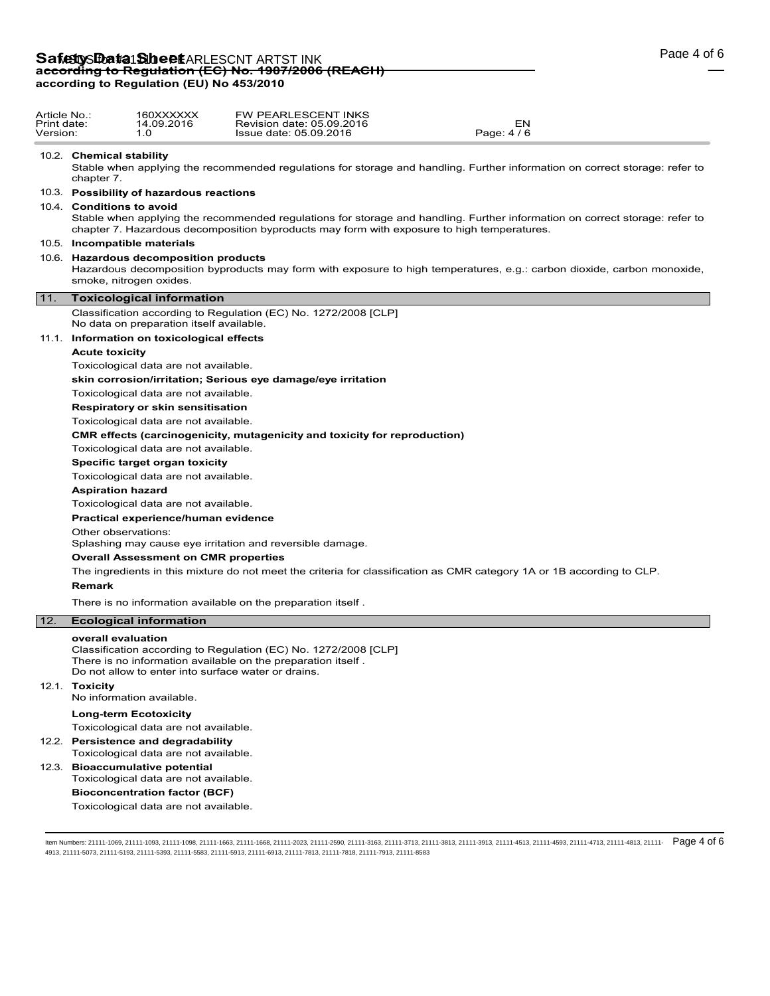| Article No.:<br>Print date:<br>Version: |                                                                                                                                                                                             | 160XXXXXX<br>14.09.2016<br>1.0                                               | FW PEARLESCENT INKS<br>Revision date: 05.09.2016<br>EN<br>Page: 4/6<br>Issue date: 05.09.2016                                                                                                                             |  |  |  |  |
|-----------------------------------------|---------------------------------------------------------------------------------------------------------------------------------------------------------------------------------------------|------------------------------------------------------------------------------|---------------------------------------------------------------------------------------------------------------------------------------------------------------------------------------------------------------------------|--|--|--|--|
|                                         | 10.2. Chemical stability<br>chapter 7.                                                                                                                                                      |                                                                              | Stable when applying the recommended regulations for storage and handling. Further information on correct storage: refer to                                                                                               |  |  |  |  |
|                                         |                                                                                                                                                                                             | 10.3. Possibility of hazardous reactions                                     |                                                                                                                                                                                                                           |  |  |  |  |
|                                         | 10.4. Conditions to avoid                                                                                                                                                                   |                                                                              |                                                                                                                                                                                                                           |  |  |  |  |
|                                         |                                                                                                                                                                                             |                                                                              | Stable when applying the recommended regulations for storage and handling. Further information on correct storage: refer to<br>chapter 7. Hazardous decomposition byproducts may form with exposure to high temperatures. |  |  |  |  |
|                                         | 10.5. Incompatible materials                                                                                                                                                                |                                                                              |                                                                                                                                                                                                                           |  |  |  |  |
|                                         | 10.6. Hazardous decomposition products<br>Hazardous decomposition byproducts may form with exposure to high temperatures, e.g.: carbon dioxide, carbon monoxide,<br>smoke, nitrogen oxides. |                                                                              |                                                                                                                                                                                                                           |  |  |  |  |
| 11.                                     |                                                                                                                                                                                             | <b>Toxicological information</b>                                             |                                                                                                                                                                                                                           |  |  |  |  |
|                                         |                                                                                                                                                                                             | No data on preparation itself available.                                     | Classification according to Regulation (EC) No. 1272/2008 [CLP]                                                                                                                                                           |  |  |  |  |
|                                         |                                                                                                                                                                                             | 11.1. Information on toxicological effects                                   |                                                                                                                                                                                                                           |  |  |  |  |
|                                         | <b>Acute toxicity</b>                                                                                                                                                                       |                                                                              |                                                                                                                                                                                                                           |  |  |  |  |
|                                         |                                                                                                                                                                                             | Toxicological data are not available.                                        |                                                                                                                                                                                                                           |  |  |  |  |
|                                         |                                                                                                                                                                                             |                                                                              | skin corrosion/irritation; Serious eye damage/eye irritation                                                                                                                                                              |  |  |  |  |
|                                         |                                                                                                                                                                                             | Toxicological data are not available.                                        |                                                                                                                                                                                                                           |  |  |  |  |
|                                         |                                                                                                                                                                                             | <b>Respiratory or skin sensitisation</b>                                     |                                                                                                                                                                                                                           |  |  |  |  |
|                                         |                                                                                                                                                                                             | Toxicological data are not available.                                        |                                                                                                                                                                                                                           |  |  |  |  |
|                                         |                                                                                                                                                                                             |                                                                              | <b>CMR effects (carcinogenicity, mutagenicity and toxicity for reproduction)</b>                                                                                                                                          |  |  |  |  |
|                                         |                                                                                                                                                                                             | Toxicological data are not available.                                        |                                                                                                                                                                                                                           |  |  |  |  |
|                                         |                                                                                                                                                                                             | Specific target organ toxicity                                               |                                                                                                                                                                                                                           |  |  |  |  |
|                                         |                                                                                                                                                                                             | Toxicological data are not available.                                        |                                                                                                                                                                                                                           |  |  |  |  |
|                                         | <b>Aspiration hazard</b>                                                                                                                                                                    |                                                                              |                                                                                                                                                                                                                           |  |  |  |  |
|                                         |                                                                                                                                                                                             | Toxicological data are not available.                                        |                                                                                                                                                                                                                           |  |  |  |  |
|                                         |                                                                                                                                                                                             | Practical experience/human evidence                                          |                                                                                                                                                                                                                           |  |  |  |  |
|                                         | Other observations:                                                                                                                                                                         |                                                                              | Splashing may cause eye irritation and reversible damage.                                                                                                                                                                 |  |  |  |  |
|                                         |                                                                                                                                                                                             | <b>Overall Assessment on CMR properties</b>                                  |                                                                                                                                                                                                                           |  |  |  |  |
|                                         |                                                                                                                                                                                             |                                                                              | The ingredients in this mixture do not meet the criteria for classification as CMR category 1A or 1B according to CLP.                                                                                                    |  |  |  |  |
|                                         | Remark                                                                                                                                                                                      |                                                                              |                                                                                                                                                                                                                           |  |  |  |  |
|                                         |                                                                                                                                                                                             |                                                                              | There is no information available on the preparation itself.                                                                                                                                                              |  |  |  |  |
| 12.                                     |                                                                                                                                                                                             | <b>Ecological information</b>                                                |                                                                                                                                                                                                                           |  |  |  |  |
|                                         | overall evaluation                                                                                                                                                                          |                                                                              |                                                                                                                                                                                                                           |  |  |  |  |
|                                         |                                                                                                                                                                                             |                                                                              | Classification according to Regulation (EC) No. 1272/2008 [CLP]<br>There is no information available on the preparation itself.<br>Do not allow to enter into surface water or drains.                                    |  |  |  |  |
|                                         | 12.1. Toxicity                                                                                                                                                                              | No information available.                                                    |                                                                                                                                                                                                                           |  |  |  |  |
|                                         | <b>Long-term Ecotoxicity</b>                                                                                                                                                                |                                                                              |                                                                                                                                                                                                                           |  |  |  |  |
|                                         |                                                                                                                                                                                             | Toxicological data are not available.                                        |                                                                                                                                                                                                                           |  |  |  |  |
|                                         |                                                                                                                                                                                             | 12.2. Persistence and degradability<br>Toxicological data are not available. |                                                                                                                                                                                                                           |  |  |  |  |
| 100                                     |                                                                                                                                                                                             | Dissassumulativa natantial                                                   |                                                                                                                                                                                                                           |  |  |  |  |

12.3. **Bioaccumulative potential** Toxicological data are not available. **Bioconcentration factor (BCF)** Toxicological data are not available.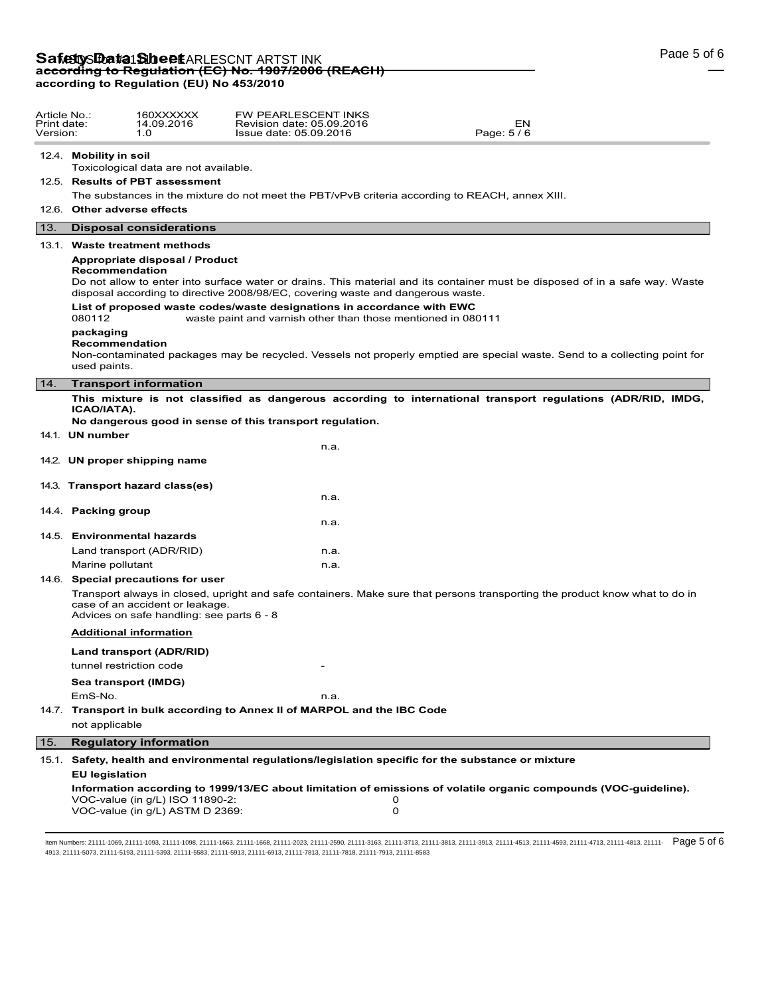| Article No.:<br>Print date:<br>Version: |                        | 160XXXXXX<br>14.09.2016<br>1.0                                                                                                                                                                                                                                      | FW PEARLESCENT INKS<br>EN<br>Revision date: 05.09.2016<br>Issue date: 05.09.2016<br>Page: 5/6                                                                            |  |  |  |  |
|-----------------------------------------|------------------------|---------------------------------------------------------------------------------------------------------------------------------------------------------------------------------------------------------------------------------------------------------------------|--------------------------------------------------------------------------------------------------------------------------------------------------------------------------|--|--|--|--|
|                                         | 12.4. Mobility in soil | Toxicological data are not available.                                                                                                                                                                                                                               |                                                                                                                                                                          |  |  |  |  |
|                                         |                        | 12.5. Results of PBT assessment                                                                                                                                                                                                                                     |                                                                                                                                                                          |  |  |  |  |
|                                         |                        |                                                                                                                                                                                                                                                                     | The substances in the mixture do not meet the PBT/vPvB criteria according to REACH, annex XIII.                                                                          |  |  |  |  |
|                                         |                        | 12.6. Other adverse effects                                                                                                                                                                                                                                         |                                                                                                                                                                          |  |  |  |  |
| 13.                                     |                        | <b>Disposal considerations</b>                                                                                                                                                                                                                                      |                                                                                                                                                                          |  |  |  |  |
|                                         |                        | 13.1. Waste treatment methods                                                                                                                                                                                                                                       |                                                                                                                                                                          |  |  |  |  |
|                                         |                        | Appropriate disposal / Product<br>Recommendation<br>Do not allow to enter into surface water or drains. This material and its container must be disposed of in a safe way. Waste<br>disposal according to directive 2008/98/EC, covering waste and dangerous waste. |                                                                                                                                                                          |  |  |  |  |
|                                         | 080112                 |                                                                                                                                                                                                                                                                     | List of proposed waste codes/waste designations in accordance with EWC<br>waste paint and varnish other than those mentioned in 080111                                   |  |  |  |  |
|                                         |                        | packaging<br>Recommendation<br>Non-contaminated packages may be recycled. Vessels not properly emptied are special waste. Send to a collecting point for<br>used paints.                                                                                            |                                                                                                                                                                          |  |  |  |  |
| 14.                                     |                        | <b>Transport information</b>                                                                                                                                                                                                                                        |                                                                                                                                                                          |  |  |  |  |
|                                         | ICAO/IATA).            |                                                                                                                                                                                                                                                                     | This mixture is not classified as dangerous according to international transport regulations (ADR/RID, IMDG,<br>No dangerous good in sense of this transport regulation. |  |  |  |  |
|                                         | 14.1. UN number        |                                                                                                                                                                                                                                                                     | n.a.                                                                                                                                                                     |  |  |  |  |
|                                         |                        | 14.2. UN proper shipping name                                                                                                                                                                                                                                       |                                                                                                                                                                          |  |  |  |  |
|                                         |                        | 14.3. Transport hazard class(es)                                                                                                                                                                                                                                    |                                                                                                                                                                          |  |  |  |  |
|                                         |                        |                                                                                                                                                                                                                                                                     | n.a.                                                                                                                                                                     |  |  |  |  |
|                                         | 14.4. Packing group    |                                                                                                                                                                                                                                                                     | n.a.                                                                                                                                                                     |  |  |  |  |
| 14.5.                                   |                        | <b>Environmental hazards</b>                                                                                                                                                                                                                                        |                                                                                                                                                                          |  |  |  |  |
|                                         |                        | Land transport (ADR/RID)                                                                                                                                                                                                                                            | n.a.                                                                                                                                                                     |  |  |  |  |
|                                         | Marine pollutant       |                                                                                                                                                                                                                                                                     | n.a.                                                                                                                                                                     |  |  |  |  |
|                                         |                        | 14.6. Special precautions for user<br>case of an accident or leakage.<br>Advices on safe handling: see parts 6 - 8                                                                                                                                                  | Transport always in closed, upright and safe containers. Make sure that persons transporting the product know what to do in                                              |  |  |  |  |
|                                         |                        | <b>Additional information</b>                                                                                                                                                                                                                                       |                                                                                                                                                                          |  |  |  |  |
|                                         |                        | Land transport (ADR/RID)                                                                                                                                                                                                                                            |                                                                                                                                                                          |  |  |  |  |
|                                         |                        | tunnel restriction code                                                                                                                                                                                                                                             | Ξ.                                                                                                                                                                       |  |  |  |  |
|                                         |                        | Sea transport (IMDG)                                                                                                                                                                                                                                                |                                                                                                                                                                          |  |  |  |  |
|                                         | EmS-No.                |                                                                                                                                                                                                                                                                     | n.a.                                                                                                                                                                     |  |  |  |  |
|                                         |                        |                                                                                                                                                                                                                                                                     | 14.7. Transport in bulk according to Annex II of MARPOL and the IBC Code                                                                                                 |  |  |  |  |
|                                         | not applicable         |                                                                                                                                                                                                                                                                     |                                                                                                                                                                          |  |  |  |  |
| 15.                                     |                        | <b>Regulatory information</b>                                                                                                                                                                                                                                       |                                                                                                                                                                          |  |  |  |  |
|                                         | <b>EU legislation</b>  |                                                                                                                                                                                                                                                                     | 15.1. Safety, health and environmental regulations/legislation specific for the substance or mixture                                                                     |  |  |  |  |
|                                         |                        | VOC-value (in g/L) ISO 11890-2:<br>VOC-value (in g/L) ASTM D 2369:                                                                                                                                                                                                  | Information according to 1999/13/EC about limitation of emissions of volatile organic compounds (VOC-guideline).<br>0<br>$\mathbf 0$                                     |  |  |  |  |